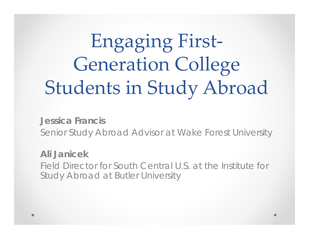# Engaging First‐ Generation College Students in Study Abroad

**Jessica Francis**Senior Study Abroad Advisor at Wake Forest University

**Ali Janicek**

Field Director for South Central U.S. at the Institute for Study Abroad at Butler University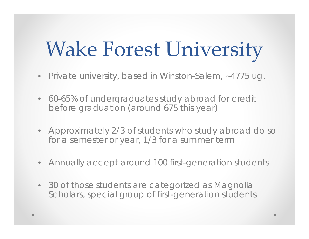# Wake Forest University

- Private university, based in Winston-Salem, ~4775 ug.
- 60-65% of undergraduates study abroad for credit before graduation (around 675 this year)
- Approximately 2/3 of students who study abroad do so for a semester or year, 1/3 for a summer term
- Annually accept around 100 first-generation students
- 30 of those students are categorized as Magnolia Scholars, special group of first-generation students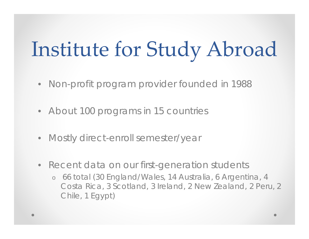# Institute for Study Abroad

- Non-profit program provider founded in 1988
- About 100 programs in 15 countries
- Mostly direct-enroll semester/year
- Recent data on our first-generation students
	- o 66 total (30 England/Wales, 14 Australia, 6 Argentina, 4 Costa Rica, 3 Scotland, 3 Ireland, 2 New Zealand, 2 Peru, 2 Chile, 1 Egypt)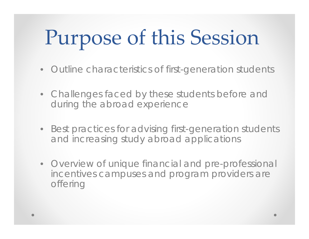# Purpose of this Session

- $\bullet$ Outline characteristics of first-generation students
- Challenges faced by these students before and during the abroad experience
- Best practices for advising first-generation students and increasing study abroad applications
- Overview of unique financial and pre-professional incentives campuses and program providers are offering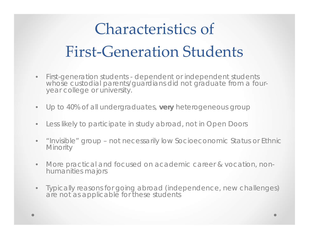#### Characteristics of First‐Generation Students

- • First-generation students - dependent or independent students whose custodial parents/guardians did not graduate from a fouryear college or university.
- $\bullet$ Up to 40% of all undergraduates, **very** heterogeneous group
- $\bullet$ Less likely to participate in study abroad, not in Open Doors
- $\bullet$  "Invisible" group – not necessarily low Socioeconomic Status or Ethnic **Minority**
- • More practical and focused on academic career & vocation, nonhumanities majors
- $\bullet$  Typically reasons for going abroad (independence, new challenges) are not as applicable for these students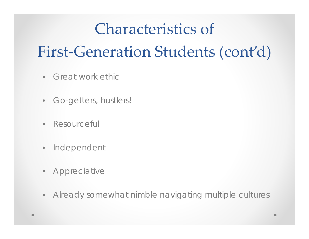#### Characteristics of

#### First ‐Generation Students (cont'd)

- Great work ethic
- Go-getters, hustlers!
- $\bullet$ Resourceful
- $\bullet$ Independent
- Appreciative
- $\bullet$ Already somewhat nimble navigating multiple cultures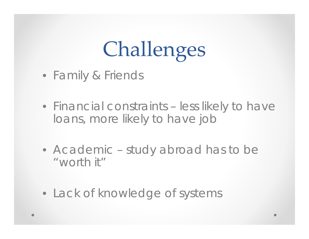# Challenges

- Family & Friends
- Financial constraints less likely to have loans, more likely to have job
- Academic study abroad has to be "worth it"
- Lack of knowledge of systems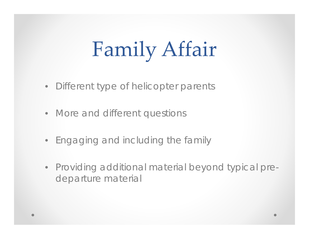# Family Affair

- Different type of *helicopter* parents
- More and different questions
- Engaging and including the family
- Providing additional material beyond typical predeparture material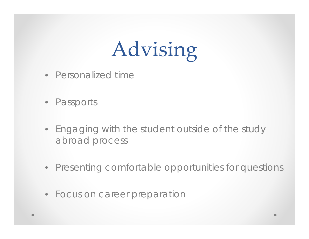# Advising

- Personalized time
- Passports
- Engaging with the student outside of the study abroad process
- Presenting comfortable opportunities for questions
- Focus on career preparation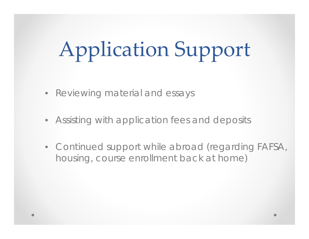# Application Support

- Reviewing material and essays
- Assisting with application fees and deposits
- Continued support while abroad (regarding FAFSA, housing, course enrollment back at home)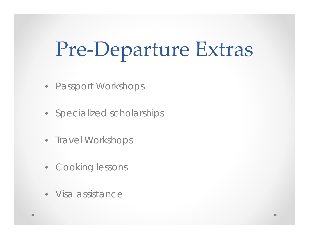# Pre‐Departure Extras

- Passport Workshops
- Specialized scholarships
- Travel Workshops
- Cooking lessons
- Visa assistance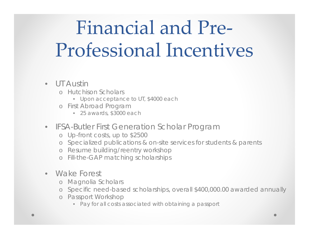## Financial and Pre‐ Professional Incentives

#### • UT Austin

- o Hutchison Scholars
	- Upon acceptance to UT, \$4000 each
- o First Abroad Program
	- 25 awards, \$3000 each
- IFSA-Butler First Generation Scholar Program
	- o Up-front costs, up to \$2500
	- o Specialized publications & on-site services for students & parents
	- o Resume building/reentry workshop
	- o Fill-the-GAP matching scholarships
- Wake Forest
	- o Magnolia Scholars
	- o Specific need-based scholarships, overall \$400,000.00 awarded annually
	- o Passport Workshop
		- Pay for all costs associated with obtaining a passport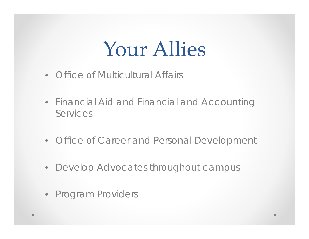## Your Allies

- Office of Multicultural Affairs
- Financial Aid and Financial and Accounting Services
- Office of Career and Personal Development
- Develop Advocates throughout campus
- Program Providers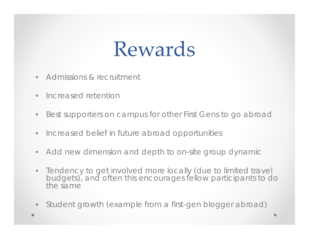## Rewards

- •Admissions & recruitment
- •Increased retention
- •Best supporters on campus for other First Gens to go abroad
- $\bullet$ Increased belief in future abroad opportunities
- Add new dimension and depth to on-site group dynamic
- • Tendency to get involved more locally (due to limited travel budgets), and often this encourages fellow participants to do the same
- •Student growth (example from a first-gen blogger abroad)